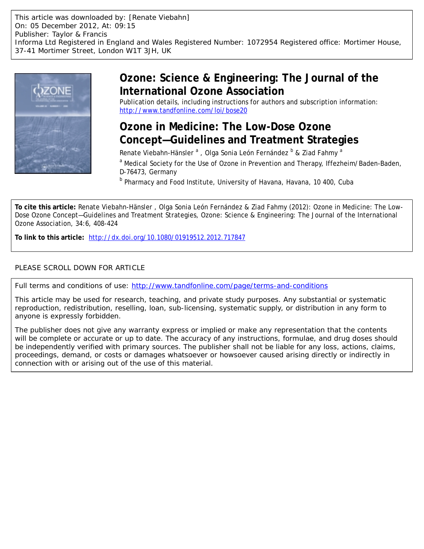This article was downloaded by: [Renate Viebahn] On: 05 December 2012, At: 09:15 Publisher: Taylor & Francis Informa Ltd Registered in England and Wales Registered Number: 1072954 Registered office: Mortimer House, 37-41 Mortimer Street, London W1T 3JH, UK



# **Ozone: Science & Engineering: The Journal of the International Ozone Association**

Publication details, including instructions for authors and subscription information: <http://www.tandfonline.com/loi/bose20>

# **Ozone in Medicine: The Low-Dose Ozone Concept—Guidelines and Treatment Strategies**

Renate Viebahn-Hänsler <sup>a</sup>, Olga Sonia León Fernández <sup>b</sup> & Ziad Fahmy <sup>a</sup>

<sup>a</sup> Medical Society for the Use of Ozone in Prevention and Therapy, Iffezheim/Baden-Baden, D-76473, Germany

<sup>b</sup> Pharmacy and Food Institute, University of Havana, Havana, 10 400, Cuba

**To cite this article:** Renate Viebahn-Hänsler , Olga Sonia León Fernández & Ziad Fahmy (2012): Ozone in Medicine: The Low-Dose Ozone Concept—Guidelines and Treatment Strategies, Ozone: Science & Engineering: The Journal of the International Ozone Association, 34:6, 408-424

**To link to this article:** <http://dx.doi.org/10.1080/01919512.2012.717847>

# PLEASE SCROLL DOWN FOR ARTICLE

Full terms and conditions of use:<http://www.tandfonline.com/page/terms-and-conditions>

This article may be used for research, teaching, and private study purposes. Any substantial or systematic reproduction, redistribution, reselling, loan, sub-licensing, systematic supply, or distribution in any form to anyone is expressly forbidden.

The publisher does not give any warranty express or implied or make any representation that the contents will be complete or accurate or up to date. The accuracy of any instructions, formulae, and drug doses should be independently verified with primary sources. The publisher shall not be liable for any loss, actions, claims, proceedings, demand, or costs or damages whatsoever or howsoever caused arising directly or indirectly in connection with or arising out of the use of this material.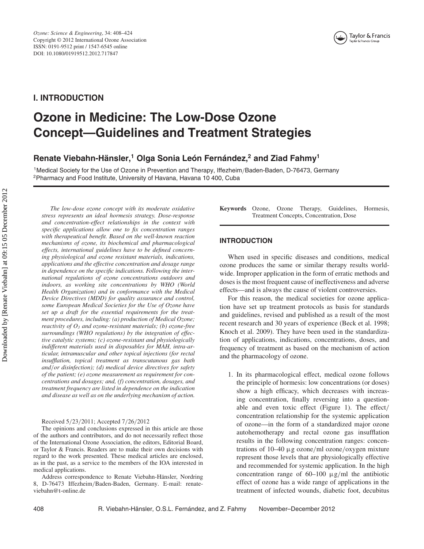

# **I. INTRODUCTION**

# **Ozone in Medicine: The Low-Dose Ozone Concept—Guidelines and Treatment Strategies**

# **Renate Viebahn-Hänsler,<sup>1</sup> Olga Sonia León Fernández,2 and Ziad Fahmy<sup>1</sup>**

1Medical Society for the Use of Ozone in Prevention and Therapy, Iffezheim*/*Baden-Baden, D-76473, Germany 2Pharmacy and Food Institute, University of Havana, Havana 10 400, Cuba

*The low-dose ozone concept with its moderate oxidative stress represents an ideal hormesis strategy. Dose-response and concentration-effect relationships in the context with specific applications allow one to fix concentration ranges with therapeutical benefit. Based on the well-known reaction mechanisms of ozone, its biochemical and pharmacological effects, international guidelines have to be defined concerning physiological and ozone resistant materials, indications, applications and the effective concentration and dosage range in dependence on the specific indications. Following the international regulations of ozone concentrations outdoors and indoors, as working site concentrations by WHO (World Health Organization) and in conformance with the Medical Device Directives (MDD) for quality assurance and control, some European Medical Societies for the Use of Ozone have set up a draft for the essential requirements for the treatment procedures, including: (a) production of Medical Ozone; reactivity of O3 and ozone-resistant materials; (b) ozone-free surroundings (WHO regulations) by the integration of effective catalytic systems; (c) ozone-resistant and physiologically indifferent materials used in disposables for MAH, intra-articular, intramuscular and other topical injections (for rectal insufflation, topical treatment as transcutanous gas bath and/or disinfection); (d) medical device directives for safety of the patient; (e) ozone measurement as requirement for concentrations and dosages; and, (f) concentration, dosages, and treatment frequency are listed in dependence on the indication and disease as well as on the underlying mechanism of action.*

Received 5*/*23*/*2011; Accepted 7*/*26*/*2012

The opinions and conclusions expressed in this article are those of the authors and contributors, and do not necessarily reflect those of the International Ozone Association, the editors, Editorial Board, or Taylor & Francis. Readers are to make their own decisions with regard to the work presented. These medical articles are enclosed, as in the past, as a service to the members of the IOA interested in medical applications.

Address correspondence to Renate Viebahn-Hänsler, Nordring 8, D-76473 Iffezheim*/*Baden-Baden, Germany. E-mail: renateviebahn@t-online.de

**Keywords** Ozone, Ozone Therapy, Guidelines, Hormesis, Treatment Concepts, Concentration, Dose

# **INTRODUCTION**

When used in specific diseases and conditions, medical ozone produces the same or similar therapy results worldwide. Improper application in the form of erratic methods and doses is the most frequent cause of ineffectiveness and adverse effects—and is always the cause of violent controversies.

For this reason, the medical societies for ozone application have set up treatment protocols as basis for standards and guidelines, revised and published as a result of the most recent research and 30 years of experience (Beck et al. 1998; Knoch et al. 2009). They have been used in the standardization of applications, indications, concentrations, doses, and frequency of treatment as based on the mechanism of action and the pharmacology of ozone.

1. In its pharmacological effect, medical ozone follows the principle of hormesis: low concentrations (or doses) show a high efficacy, which decreases with increasing concentration, finally reversing into a questionable and even toxic effect (Figure 1). The effect*/* concentration relationship for the systemic application of ozone—in the form of a standardized major ozone autohemotherapy and rectal ozone gas insufflation results in the following concentration ranges: concentrations of 10–40 µg ozone*/*ml ozone*/*oxygen mixture represent those levels that are physiologically effective and recommended for systemic application. In the high concentration range of 60–100 µg*/*ml the antibiotic effect of ozone has a wide range of applications in the treatment of infected wounds, diabetic foot, decubitus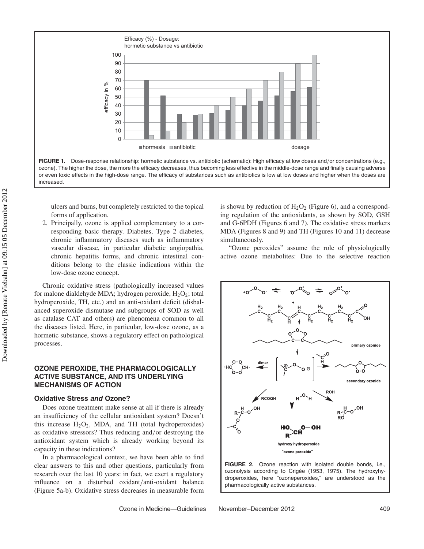Efficacy (%) - Dosage: hormetic substance vs antibiotic 100 90 80 70 efficacy in % efficacy in % 60 50 40 30 20 10  $\Omega$  $\blacksquare$  hormesis  $\blacksquare$  antibiotic dosage **FIGURE 1.** Dose-response relationship: hormetic substance vs. antibiotic (schematic): High efficacy at low doses and*/*or concentrations (e.g.,

ozone). The higher the dose, the more the efficacy decreases, thus becoming less effective in the middle-dose range and finally causing adverse or even toxic effects in the high-dose range. The efficacy of substances such as antibiotics is low at low doses and higher when the doses are increased.

ulcers and burns, but completely restricted to the topical forms of application.

2. Principally, ozone is applied complementary to a corresponding basic therapy. Diabetes, Type 2 diabetes, chronic inflammatory diseases such as inflammatory vascular disease, in particular diabetic angiopathia, chronic hepatitis forms, and chronic intestinal conditions belong to the classic indications within the low-dose ozone concept.

Chronic oxidative stress (pathologically increased values for malone dialdehyde MDA; hydrogen peroxide,  $H_2O_2$ ; total hydroperoxide, TH, etc.) and an anti-oxidant deficit (disbalanced superoxide dismutase and subgroups of SOD as well as catalase CAT and others) are phenomena common to all the diseases listed. Here, in particular, low-dose ozone, as a hormetic substance, shows a regulatory effect on pathological processes.

# **OZONE PEROXIDE, THE PHARMACOLOGICALLY ACTIVE SUBSTANCE, AND ITS UNDERLYING MECHANISMS OF ACTION**

#### **Oxidative Stress** *and* **Ozone?**

Does ozone treatment make sense at all if there is already an insufficiency of the cellular antioxidant system? Doesn't this increase  $H_2O_2$ , MDA, and TH (total hydroperoxides) as oxidative stressors? Thus reducing and*/*or destroying the antioxidant system which is already working beyond its capacity in these indications?

In a pharmacological context, we have been able to find clear answers to this and other questions, particularly from research over the last 10 years: in fact, we exert a regulatory influence on a disturbed oxidant*/*anti-oxidant balance (Figure 5a-b). Oxidative stress decreases in measurable form

is shown by reduction of  $H_2O_2$  (Figure 6), and a corresponding regulation of the antioxidants, as shown by SOD, GSH and G-6PDH (Figures 6 and 7). The oxidative stress markers MDA (Figures 8 and 9) and TH (Figures 10 and 11) decrease simultaneously.

"Ozone peroxides" assume the role of physiologically active ozone metabolites: Due to the selective reaction



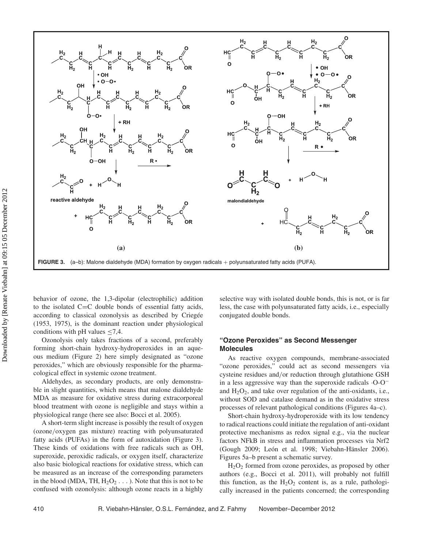

behavior of ozone, the 1,3-dipolar (electrophilic) addition to the isolated  $C=C$  double bonds of essential fatty acids, according to classical ozonolysis as described by Criegée (1953, 1975), is the dominant reaction under physiological conditions with pH values  $\leq 7,4$ .

Ozonolysis only takes fractions of a second, preferably forming short-chain hydroxy-hydroperoxides in an aqueous medium (Figure 2) here simply designated as "ozone peroxides," which are obviously responsible for the pharmacological effect in systemic ozone treatment.

Aldehydes, as secondary products, are only demonstrable in slight quantities, which means that malone dialdehyde MDA as measure for oxidative stress during extracorporeal blood treatment with ozone is negligible and stays within a physiological range (here see also: Bocci et al. 2005).

A short-term slight increase is possibly the result of oxygen (ozone*/*oxygen gas mixture) reacting with polyunsaturated fatty acids (PUFAs) in the form of autoxidation (Figure 3). These kinds of oxidations with free radicals such as OH, superoxide, peroxidic radicals, or oxygen itself, characterize also basic biological reactions for oxidative stress, which can be measured as an increase of the corresponding parameters in the blood (MDA, TH,  $H_2O_2 \ldots$ ). Note that this is not to be confused with ozonolysis: although ozone reacts in a highly

selective way with isolated double bonds, this is not, or is far less, the case with polyunsaturated fatty acids, i.e., especially conjugated double bonds.

# **"Ozone Peroxides" as Second Messenger Molecules**

As reactive oxygen compounds, membrane-associated "ozone peroxides," could act as second messengers via cysteine residues and*/*or reduction through glutathione GSH in a less aggressive way than the superoxide radicals ·O-O<sup>−</sup> and  $H_2O_2$ , and take over regulation of the anti-oxidants, i.e., without SOD and catalase demand as in the oxidative stress processes of relevant pathological conditions (Figures 4a–c).

Short-chain hydroxy-hydroperoxide with its low tendency to radical reactions could initiate the regulation of anti-oxidant protective mechanisms as redox signal e.g., via the nuclear factors NFkB in stress and inflammation processes via Nrf2 (Gough 2009; León et al. 1998; Viebahn-Hänsler 2006). Figures 5a–b present a schematic survey.

 $H<sub>2</sub>O<sub>2</sub>$  formed from ozone peroxides, as proposed by other authors (e.g., Bocci et al. 2011), will probably not fulfill this function, as the  $H_2O_2$  content is, as a rule, pathologically increased in the patients concerned; the corresponding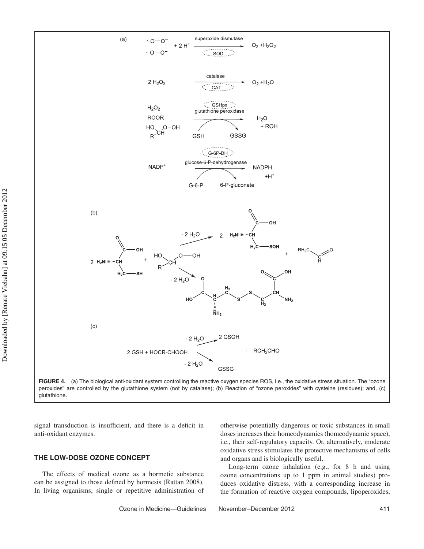

**FIGURE 4.** (a) The biological anti-oxidant system controlling the reactive oxygen species ROS, i.e., the oxidative stress situation. The "ozone peroxides" are controlled by the glutathione system (not by catalase); (b) Reaction of "ozone peroxides" with cysteine (residues); and, (c) glutathione.

signal transduction is insufficient, and there is a deficit in anti-oxidant enzymes.

# **THE LOW-DOSE OZONE CONCEPT**

The effects of medical ozone as a hormetic substance can be assigned to those defined by hormesis (Rattan 2008). In living organisms, single or repetitive administration of

otherwise potentially dangerous or toxic substances in small doses increases their homeodynamics (homeodynamic space), i.e., their self-regulatory capacity. Or, alternatively, moderate oxidative stress stimulates the protective mechanisms of cells and organs and is biologically useful.

Long-term ozone inhalation (e.g., for 8 h and using ozone concentrations up to 1 ppm in animal studies) produces oxidative distress, with a corresponding increase in the formation of reactive oxygen compounds, lipoperoxides,

Ozone in Medicine—Guidelines November–December 2012 411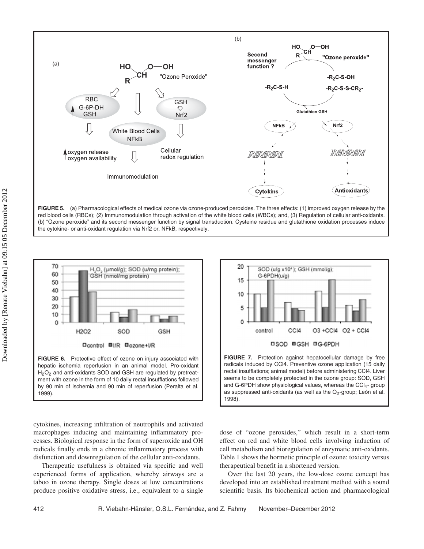

FIGURE 5. (a) Pharmacological effects of medical ozone via ozone-produced peroxides. The three effects: (1) improved oxygen release by the red blood cells (RBCs); (2) Immunomodulation through activation of the white blood cells (WBCs); and, (3) Regulation of cellular anti-oxidants. (b) "Ozone peroxide" and its second messenger function by signal transduction. Cysteine residue and glutathione oxidation processes induce the cytokine- or anti-oxidant regulation via Nrf2 or, NFkB, respectively.



hepatic ischemia reperfusion in an animal model. Pro-oxidant  $H<sub>2</sub>O<sub>2</sub>$  and anti-oxidants SOD and GSH are regulated by pretreatment with ozone in the form of 10 daily rectal insufflations followed by 90 min of ischemia and 90 min of reperfusion (Peralta et al. 1999).

cytokines, increasing infiltration of neutrophils and activated macrophages inducing and maintaining inflammatory processes. Biological response in the form of superoxide and OH radicals finally ends in a chronic inflammatory process with disfunction and downregulation of the cellular anti-oxidants.

Therapeutic usefulness is obtained via specific and well experienced forms of application, whereby airways are a taboo in ozone therapy. Single doses at low concentrations produce positive oxidative stress, i.e., equivalent to a single



**FIGURE 7.** Protection against hepatocellular damage by free radicals induced by CCl4. Preventive ozone application (15 daily rectal insufflations; animal model) before administering CCl4. Liver seems to be completely protected in the ozone group: SOD, GSH and G-6PDH show physiological values, whereas the CCI $_4$ - group as suppressed anti-oxidants (as well as the  $O<sub>2</sub>$ -group; León et al. 1998).

dose of "ozone peroxides," which result in a short-term effect on red and white blood cells involving induction of cell metabolism and bioregulation of enzymatic anti-oxidants. Table 1 shows the hormetic principle of ozone: toxicity versus therapeutical benefit in a shortened version.

Over the last 20 years, the low-dose ozone concept has developed into an established treatment method with a sound scientific basis. Its biochemical action and pharmacological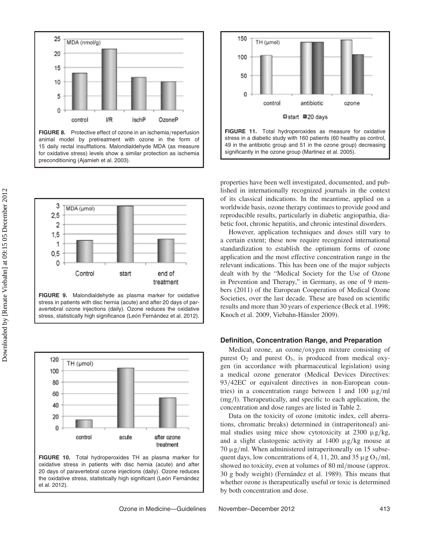

**FIGURE 8.** Protective effect of ozone in an ischemia*/*reperfusion animal model by pretreatment with ozone in the form of 15 daily rectal insufflations. Malondialdehyde MDA (as measure for oxidative stress) levels show a similar protection as ischemia preconditioning (Ajamieh et al. 2003).



**FIGURE 9.** Malondialdehyde as plasma marker for oxidative stress in patients with disc hernia (acute) and after 20 days of paravertebral ozone injections (daily). Ozone reduces the oxidative stress, statistically high significance (León Fernández et al. 2012).



**FIGURE 10.** Total hydroperoxides TH as plasma marker for oxidative stress in patients with disc hernia (acute) and after 20 days of paravertebral ozone injections (daily). Ozone reduces the oxidative stress, statistically high significant (León Fernández et al. 2012).



properties have been well investigated, documented, and published in internationally recognized journals in the context of its classical indications. In the meantime, applied on a worldwide basis, ozone therapy continues to provide good and reproducible results, particularly in diabetic angiopathia, diabetic foot, chronic hepatitis, and chronic intestinal disorders.

However, application techniques and doses still vary to a certain extent; these now require recognized international standardization to establish the optimum forms of ozone application and the most effective concentration range in the relevant indications. This has been one of the major subjects dealt with by the "Medical Society for the Use of Ozone in Prevention and Therapy," in Germany, as one of 9 members (2011) of the European Cooperation of Medical Ozone Societies, over the last decade. These are based on scientific results and more than 30 years of experience (Beck et al. 1998; Knoch et al. 2009, Viebahn-Hänsler 2009).

#### **Definition, Concentration Range, and Preparation**

Medical ozone, an ozone*/*oxygen mixture consisting of purest  $O_2$  and purest  $O_3$ , is produced from medical oxygen (in accordance with pharmaceutical legislation) using a medical ozone generator (Medical Devices Directives: 93*/*42EC or equivalent directives in non-European countries) in a concentration range between 1 and 100 µg*/*ml (mg*/*l). Therapeutically, and specific to each application, the concentration and dose ranges are listed in Table 2.

Data on the toxicity of ozone (mitotic index, cell aberrations, chromatic breaks) determined in (intraperitoneal) animal studies using mice show cytotoxicity at 2300 µg*/*kg, and a slight clastogenic activity at 1400 µg*/*kg mouse at 70 µg*/*ml. When administered intraperitoneally on 15 subsequent days, low concentrations of 4, 11, 20, and 35  $\mu$ g O<sub>3</sub>/ml, showed no toxicity, even at volumes of 80 ml*/*mouse (approx. 30 g body weight) (Fernández et al. 1989). This means that whether ozone is therapeutically useful or toxic is determined by both concentration and dose.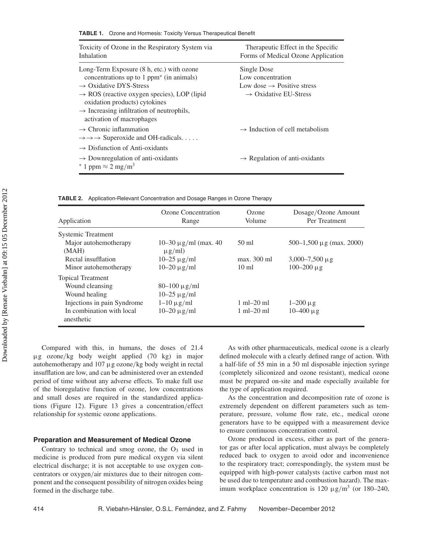| Toxicity of Ozone in the Respiratory System via<br>Inhalation                                                                                                                                                                                                                                                               | Therapeutic Effect in the Specific<br>Forms of Medical Ozone Application                                        |
|-----------------------------------------------------------------------------------------------------------------------------------------------------------------------------------------------------------------------------------------------------------------------------------------------------------------------------|-----------------------------------------------------------------------------------------------------------------|
| Long-Term Exposure (8 h, etc.) with ozone<br>concentrations up to $1$ ppm <sup>*</sup> (in animals)<br>$\rightarrow$ Oxidative DYS-Stress<br>$\rightarrow$ ROS (reactive oxygen species), LOP (lipid<br>oxidation products) cytokines<br>$\rightarrow$ Increasing infiltration of neutrophils,<br>activation of macrophages | Single Dose<br>Low concentration<br>Low dose $\rightarrow$ Positive stress<br>$\rightarrow$ Oxidative EU-Stress |
| $\rightarrow$ Chronic inflammation<br>$\rightarrow \rightarrow \rightarrow$ Superoxide and OH-radicals                                                                                                                                                                                                                      | $\rightarrow$ Induction of cell metabolism                                                                      |
| $\rightarrow$ Disfunction of Anti-oxidants<br>$\rightarrow$ Downregulation of anti-oxidants<br>$*1$ ppm $\approx 2$ mg/m <sup>3</sup>                                                                                                                                                                                       | $\rightarrow$ Regulation of anti-oxidants                                                                       |

**TABLE 2.** Application-Relevant Concentration and Dosage Ranges in Ozone Therapy

| Application                             | Ozone Concentration<br>Range             | Ozone<br>Volume                | Dosage/Ozone Amount<br>Per Treatment |
|-----------------------------------------|------------------------------------------|--------------------------------|--------------------------------------|
| <b>Systemic Treatment</b>               |                                          |                                |                                      |
| Major autohemotherapy<br>(MAH)          | 10–30 $\mu$ g/ml (max. 40<br>$\mu$ g/ml) | $50 \text{ ml}$                | 500–1,500 $\mu$ g (max. 2000)        |
| Rectal insufflation                     | $10-25 \mu$ g/ml                         | max. 300 ml                    | $3,000 - 7,500 \mu$ g                |
| Minor autohemotherapy                   | $10-20 \mu g/ml$                         | $10 \text{ ml}$                | $100 - 200 \mu$ g                    |
| <b>Topical Treatment</b>                |                                          |                                |                                      |
| Wound cleansing                         | $80 - 100 \mu g/ml$                      |                                |                                      |
| Wound healing                           | $10-25 \mu$ g/ml                         |                                |                                      |
| Injections in pain Syndrome             | $1-10 \mu$ g/ml                          | $1 \text{ ml} - 20 \text{ ml}$ | $1-200 \mu g$                        |
| In combination with local<br>anesthetic | $10-20 \mu g/ml$                         | $1 \text{ ml} - 20 \text{ ml}$ | $10 - 400 \mu g$                     |

Compared with this, in humans, the doses of 21.4 µg ozone*/*kg body weight applied (70 kg) in major autohemotherapy and 107 µg ozone*/*kg body weight in rectal insufflation are low, and can be administered over an extended period of time without any adverse effects. To make full use of the bioregulative function of ozone, low concentrations and small doses are required in the standardized applications (Figure 12). Figure 13 gives a concentration*/*effect relationship for systemic ozone applications.

#### **Preparation and Measurement of Medical Ozone**

Contrary to technical and smog ozone, the  $O<sub>3</sub>$  used in medicine is produced from pure medical oxygen via silent electrical discharge; it is not acceptable to use oxygen concentrators or oxygen*/*air mixtures due to their nitrogen component and the consequent possibility of nitrogen oxides being formed in the discharge tube.

As with other pharmaceuticals, medical ozone is a clearly defined molecule with a clearly defined range of action. With a half-life of 55 min in a 50 ml disposable injection syringe (completely siliconized and ozone resistant), medical ozone must be prepared on-site and made especially available for the type of application required.

As the concentration and decomposition rate of ozone is extremely dependent on different parameters such as temperature, pressure, volume flow rate, etc., medical ozone generators have to be equipped with a measurement device to ensure continuous concentration control.

Ozone produced in excess, either as part of the generator gas or after local application, must always be completely reduced back to oxygen to avoid odor and inconvenience to the respiratory tract; correspondingly, the system must be equipped with high-power catalysts (active carbon must not be used due to temperature and combustion hazard). The maximum workplace concentration is  $120 \mu g/m^3$  (or  $180-240$ ,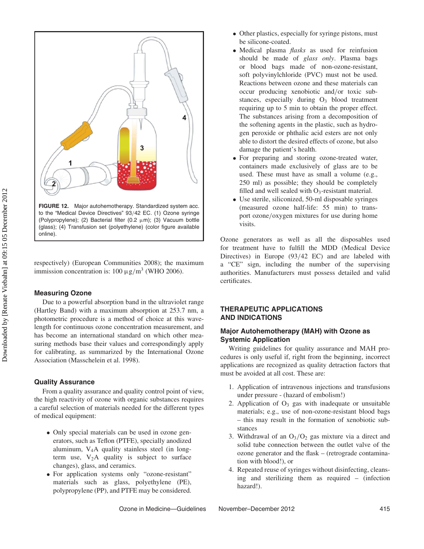

**FIGURE 12.** Major autohemotherapy. Standardized system acc. to the "Medical Device Directives" 93*/*42 EC. (1) Ozone syringe (Polypropylene); (2) Bacterial filter (0.2  $\mu$ m); (3) Vacuum bottle (glass); (4) Transfusion set (polyethylene) (color figure available online).

respectively) (European Communities 2008); the maximum immission concentration is:  $100 \mu g/m^3$  (WHO 2006).

## **Measuring Ozone**

Due to a powerful absorption band in the ultraviolet range (Hartley Band) with a maximum absorption at 253.7 nm, a photometric procedure is a method of choice at this wavelength for continuous ozone concentration measurement, and has become an international standard on which other measuring methods base their values and correspondingly apply for calibrating, as summarized by the International Ozone Association (Masschelein et al. 1998).

#### **Quality Assurance**

From a quality assurance and quality control point of view, the high reactivity of ozone with organic substances requires a careful selection of materials needed for the different types of medical equipment:

- Only special materials can be used in ozone generators, such as Teflon (PTFE), specially anodized aluminum,  $V_4A$  quality stainless steel (in longterm use,  $V_2A$  quality is subject to surface changes), glass, and ceramics.
- For application systems only "ozone-resistant" materials such as glass, polyethylene (PE), polypropylene (PP), and PTFE may be considered.
- Other plastics, especially for syringe pistons, must be silicone-coated.
- Medical plasma *flasks* as used for reinfusion should be made of *glass only*. Plasma bags or blood bags made of non-ozone-resistant, soft polyvinylchloride (PVC) must not be used. Reactions between ozone and these materials can occur producing xenobiotic and*/*or toxic substances, especially during  $O_3$  blood treatment requiring up to 5 min to obtain the proper effect. The substances arising from a decomposition of the softening agents in the plastic, such as hydrogen peroxide or phthalic acid esters are not only able to distort the desired effects of ozone, but also damage the patient's health.
- For preparing and storing ozone-treated water, containers made exclusively of glass are to be used. These must have as small a volume (e.g., 250 ml) as possible; they should be completely filled and well sealed with  $O<sub>3</sub>$ -resistant material.
- Use sterile, siliconized, 50-ml disposable syringes (measured ozone half-life: 55 min) to transport ozone*/*oxygen mixtures for use during home visits.

Ozone generators as well as all the disposables used for treatment have to fulfill the MDD (Medical Device Directives) in Europe (93*/*42 EC) and are labeled with a "CE" sign, including the number of the supervising authorities. Manufacturers must possess detailed and valid certificates.

# **THERAPEUTIC APPLICATIONS AND INDICATIONS**

# **Major Autohemotherapy (MAH) with Ozone as Systemic Application**

Writing guidelines for quality assurance and MAH procedures is only useful if, right from the beginning, incorrect applications are recognized as quality detraction factors that must be avoided at all cost. These are:

- 1. Application of intravenous injections and transfusions under pressure - (hazard of embolism!)
- 2. Application of  $O_3$  gas with inadequate or unsuitable materials; e.g., use of non-ozone-resistant blood bags – this may result in the formation of xenobiotic substances
- 3. Withdrawal of an  $O_3/O_2$  gas mixture via a direct and solid tube connection between the outlet valve of the ozone generator and the flask – (retrograde contamination with blood!), or
- 4. Repeated reuse of syringes without disinfecting, cleansing and sterilizing them as required – (infection hazard!).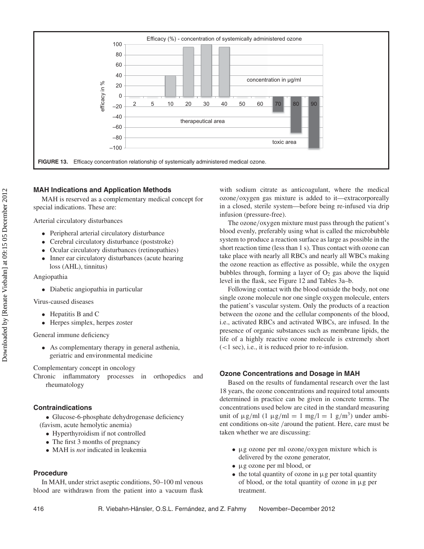

# **MAH Indications and Application Methods**

MAH is reserved as a complementary medical concept for special indications. These are:

Arterial circulatory disturbances

- Peripheral arterial circulatory disturbance
- Cerebral circulatory disturbance (poststroke)<br>• Ocular circulatory disturbances (retinonathie
- Ocular circulatory disturbances (retinopathies)
- Inner ear circulatory disturbances (acute hearing loss (AHL), tinnitus)

Angiopathia

Downloaded by [Renate Viebahn] at 09:15 05 December 2012

Downloaded by [Renate Viebahn] at 09:15 05 December 2012

• Diabetic angiopathia in particular

Virus-caused diseases

- Hepatitis B and C
- Herpes simplex, herpes zoster

General immune deficiency

• As complementary therapy in general asthenia, geriatric and environmental medicine

Complementary concept in oncology

Chronic inflammatory processes in orthopedics and rheumatology

### **Contraindications**

• Glucose-6-phosphate dehydrogenase deficiency (favism, acute hemolytic anemia)

- Hyperthyroidism if not controlled
- The first 3 months of pregnancy
- MAH is *not* indicated in leukemia

# **Procedure**

In MAH, under strict aseptic conditions, 50–100 ml venous blood are withdrawn from the patient into a vacuum flask

with sodium citrate as anticoagulant, where the medical ozone*/*oxygen gas mixture is added to it—extracorporeally in a closed, sterile system—before being re-infused via drip infusion (pressure-free).

The ozone*/*oxygen mixture must pass through the patient's blood evenly, preferably using what is called the microbubble system to produce a reaction surface as large as possible in the short reaction time (less than 1 s). Thus contact with ozone can take place with nearly all RBCs and nearly all WBCs making the ozone reaction as effective as possible, while the oxygen bubbles through, forming a layer of  $O<sub>2</sub>$  gas above the liquid level in the flask, see Figure 12 and Tables 3a–b.

Following contact with the blood outside the body, not one single ozone molecule nor one single oxygen molecule, enters the patient's vascular system. Only the products of a reaction between the ozone and the cellular components of the blood, i.e., activated RBCs and activated WBCs, are infused. In the presence of organic substances such as membrane lipids, the life of a highly reactive ozone molecule is extremely short (*<*1 sec), i.e., it is reduced prior to re-infusion.

# **Ozone Concentrations and Dosage in MAH**

Based on the results of fundamental research over the last 18 years, the ozone concentrations and required total amounts determined in practice can be given in concrete terms. The concentrations used below are cited in the standard measuring unit of  $\mu$ g/ml (1  $\mu$ g/ml = 1 mg/l = 1 g/m<sup>3</sup>) under ambient conditions on-site */*around the patient. Here, care must be taken whether we are discussing:

- µg ozone per ml ozone*/*oxygen mixture which is delivered by the ozone generator,
- µg ozone per ml blood, or
- $\bullet$  the total quantity of ozone in  $\mu$ g per total quantity of blood, or the total quantity of ozone in  $\mu$ g per treatment.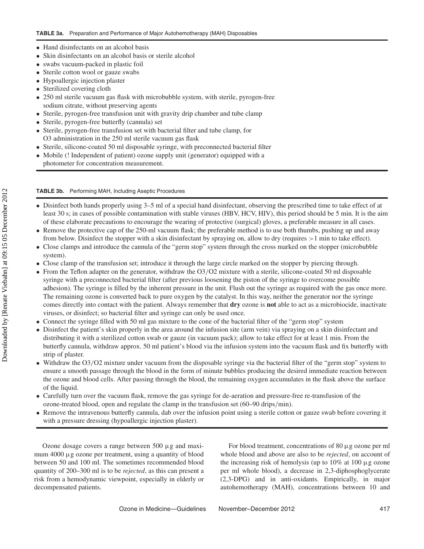- Hand disinfectants on an alcohol basis
- Skin disinfectants on an alcohol basis or sterile alcohol
- swabs vacuum-packed in plastic foil
- Sterile cotton wool or gauze swabs
- Hypoallergic injection plaster
- Sterilized covering cloth
- 250 ml sterile vacuum gas flask with microbubble system, with sterile, pyrogen-free sodium citrate, without preserving agents
- Sterile, pyrogen-free transfusion unit with gravity drip chamber and tube clamp
- Sterile, pyrogen-free butterfly (cannula) set
- Sterile, pyrogen-free transfusion set with bacterial filter and tube clamp, for O3 administration in the 250 ml sterile vacuum gas flask
- Sterile, silicone-coated 50 ml disposable syringe, with preconnected bacterial filter
- Mobile (! Independent of patient) ozone supply unit (generator) equipped with a photometer for concentration measurement.

# **TABLE 3b.** Performing MAH, Including Aseptic Procedures

- Disinfect both hands properly using 3–5 ml of a special hand disinfectant, observing the prescribed time to take effect of at least 30 s; in cases of possible contamination with stable viruses (HBV, HCV, HIV), this period should be 5 min. It is the aim of these elaborate precautions to encourage the wearing of protective (surgical) gloves, a preferable measure in all cases.
- Remove the protective cap of the 250-ml vacuum flask; the preferable method is to use both thumbs, pushing up and away from below. Disinfect the stopper with a skin disinfectant by spraying on, allow to dry (requires *>*1 min to take effect).
- Close clamps and introduce the cannula of the "germ stop" system through the cross marked on the stopper (microbubble system).
- Close clamp of the transfusion set; introduce it through the large circle marked on the stopper by piercing through.
- From the Teflon adapter on the generator, withdraw the O3*/*O2 mixture with a sterile, silicone-coated 50 ml disposable syringe with a preconnected bacterial filter (after previous loosening the piston of the syringe to overcome possible adhesion). The syringe is filled by the inherent pressure in the unit. Flush out the syringe as required with the gas once more. The remaining ozone is converted back to pure oxygen by the catalyst. In this way, neither the generator nor the syringe comes directly into contact with the patient. Always remember that **dry** ozone is **not** able to act as a microbiocide, inactivate viruses, or disinfect; so bacterial filter and syringe can only be used once.
- Connect the syringe filled with 50 ml gas mixture to the cone of the bacterial filter of the "germ stop" system
- Disinfect the patient's skin properly in the area around the infusion site (arm vein) via spraying on a skin disinfectant and distributing it with a sterilized cotton swab or gauze (in vacuum pack); allow to take effect for at least 1 min. From the butterfly cannula, withdraw approx. 50 ml patient's blood via the infusion system into the vacuum flask and fix butterfly with strip of plaster.
- Withdraw the O3*/*O2 mixture under vacuum from the disposable syringe via the bacterial filter of the "germ stop" system to ensure a smooth passage through the blood in the form of minute bubbles producing the desired immediate reaction between the ozone and blood cells. After passing through the blood, the remaining oxygen accumulates in the flask above the surface of the liquid.
- Carefully turn over the vacuum flask, remove the gas syringe for de-aeration and pressure-free re-transfusion of the ozone-treated blood, open and regulate the clamp in the transfusion set (60–90 drips*/*min).
- Remove the intravenous butterfly cannula, dab over the infusion point using a sterile cotton or gauze swab before covering it with a pressure dressing (hypoallergic injection plaster).

Ozone dosage covers a range between  $500 \mu$ g and maximum  $4000 \mu$ g ozone per treatment, using a quantity of blood between 50 and 100 ml. The sometimes recommended blood quantity of 200–300 ml is to be *rejected*, as this can present a risk from a hemodynamic viewpoint, especially in elderly or decompensated patients.

For blood treatment, concentrations of  $80 \mu$ g ozone per ml whole blood and above are also to be *rejected*, on account of the increasing risk of hemolysis (up to  $10\%$  at  $100 \mu$ g ozone per ml whole blood), a decrease in 2,3-diphosphoglycerate (2,3-DPG) and in anti-oxidants. Empirically, in major autohemotherapy (MAH), concentrations between 10 and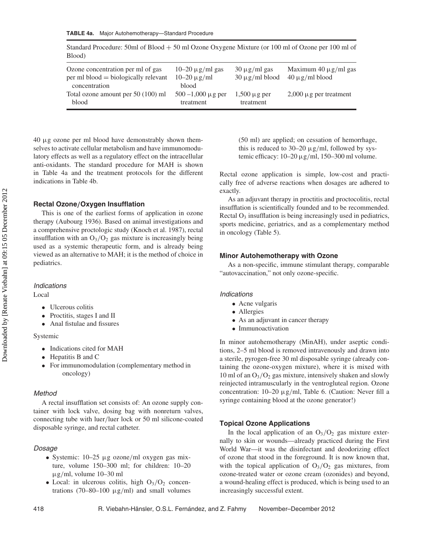| Standard Procedure: 50ml of Blood $+50$ ml Ozone Oxygene Mixture (or 100 ml of Ozone per 100 ml of |  |
|----------------------------------------------------------------------------------------------------|--|
| Blood)                                                                                             |  |

| Ozone concentration per ml of gas<br>$per \, ml \, blood = biologically \, relevant$<br>concentration | $10-20 \mu g/ml$ gas<br>$10 - 20 \mu$ g/ml<br>blood | $30 \mu$ g/ml gas<br>$30 \mu$ g/ml blood | Maximum $40 \mu$ g/ml gas<br>$40 \mu$ g/ml blood |
|-------------------------------------------------------------------------------------------------------|-----------------------------------------------------|------------------------------------------|--------------------------------------------------|
| Total ozone amount per 50 (100) ml                                                                    | $500 - 1,000 \mu g$ per                             | $1,500 \mu$ g per                        | $2,000 \mu$ g per treatment                      |
| blood                                                                                                 | treatment                                           | treatment                                |                                                  |

 $40 \mu$ g ozone per ml blood have demonstrably shown themselves to activate cellular metabolism and have immunomodulatory effects as well as a regulatory effect on the intracellular anti-oxidants. The standard procedure for MAH is shown in Table 4a and the treatment protocols for the different indications in Table 4b.

#### **Rectal Ozone***/***Oxygen Insufflation**

This is one of the earliest forms of application in ozone therapy (Aubourg 1936). Based on animal investigations and a comprehensive proctologic study (Knoch et al. 1987), rectal insufflation with an  $O_3/O_2$  gas mixture is increasingly being used as a systemic therapeutic form, and is already being viewed as an alternative to MAH; it is the method of choice in pediatrics.

#### *Indications*

Local

- Ulcerous colitis
- Proctitis, stages I and II
- Anal fistulae and fissures

#### Systemic

- Indications cited for MAH
- Hepatitis B and C
- For immunomodulation (complementary method in oncology)

#### *Method*

A rectal insufflation set consists of: An ozone supply container with lock valve, dosing bag with nonreturn valves, connecting tube with luer*/*luer lock or 50 ml silicone-coated disposable syringe, and rectal catheter.

#### *Dosage*

- Systemic: 10–25 µg ozone*/*ml oxygen gas mixture, volume 150–300 ml; for children: 10–20 µg*/*ml, volume 10–30 ml
- Local: in ulcerous colitis, high  $O_3/O_2$  concentrations (70–80–100 µg*/*ml) and small volumes

(50 ml) are applied; on cessation of hemorrhage, this is reduced to 30–20 µg*/*ml, followed by systemic efficacy: 10–20 µg*/*ml, 150–300 ml volume.

Rectal ozone application is simple, low-cost and practically free of adverse reactions when dosages are adhered to exactly.

As an adjuvant therapy in proctitis and proctocolitis, rectal insufflation is scientifically founded and to be recommended. Rectal  $O_3$  insufflation is being increasingly used in pediatrics, sports medicine, geriatrics, and as a complementary method in oncology (Table 5).

#### **Minor Autohemotherapy with Ozone**

As a non-specific, immune stimulant therapy, comparable "autovaccination," not only ozone-specific.

#### *Indications*

- Acne vulgaris
- Allergies
- As an adjuvant in cancer therapy
- Immunoactivation

In minor autohemotherapy (MinAH), under aseptic conditions, 2–5 ml blood is removed intravenously and drawn into a sterile, pyrogen-free 30 ml disposable syringe (already containing the ozone-oxygen mixture), where it is mixed with 10 ml of an  $O_3/O_2$  gas mixture, intensively shaken and slowly reinjected intramuscularly in the ventrogluteal region. Ozone concentration: 10–20 µg*/*ml, Table 6. (Caution: Never fill a syringe containing blood at the ozone generator!)

#### **Topical Ozone Applications**

In the local application of an  $O_3/O_2$  gas mixture externally to skin or wounds—already practiced during the First World War—it was the disinfectant and deodorizing effect of ozone that stood in the foreground. It is now known that, with the topical application of  $O_3/O_2$  gas mixtures, from ozone-treated water or ozone cream (ozonides) and beyond, a wound-healing effect is produced, which is being used to an increasingly successful extent.

Downloaded by [Renate Viebahn] at 09:15 05 December 2012 Downloaded by [Renate Viebahn] at 09:15 05 December 2012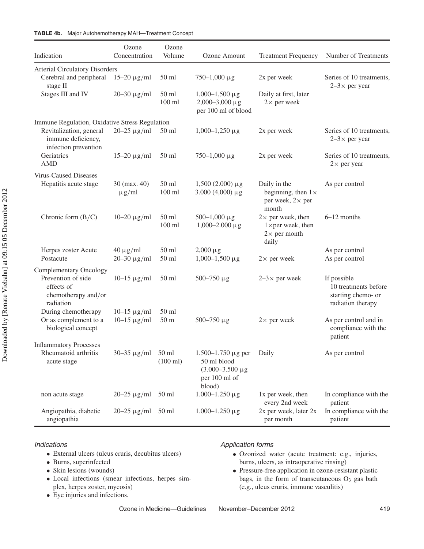| Indication                                                            | Ozone<br>Concentration              | Ozone<br>Volume             | Ozone Amount                                                                                     | <b>Treatment Frequency</b>                                                             | Number of Treatments                                                           |
|-----------------------------------------------------------------------|-------------------------------------|-----------------------------|--------------------------------------------------------------------------------------------------|----------------------------------------------------------------------------------------|--------------------------------------------------------------------------------|
| <b>Arterial Circulatory Disorders</b>                                 |                                     |                             |                                                                                                  |                                                                                        |                                                                                |
| Cerebral and peripheral<br>stage II                                   | $15 - 20 \mu g/ml$                  | $50$ ml                     | $750 - 1,000 \,\mu g$                                                                            | 2x per week                                                                            | Series of 10 treatments,<br>$2-3 \times$ per year                              |
| Stages III and IV                                                     | $20 - 30 \mu g/ml$                  | $50$ ml<br>$100$ ml         | $1,000-1,500 \,\mu g$<br>$2,000 - 3,000 \mu g$<br>per 100 ml of blood                            | Daily at first, later<br>$2 \times$ per week                                           |                                                                                |
| Immune Regulation, Oxidative Stress Regulation                        |                                     |                             |                                                                                                  |                                                                                        |                                                                                |
| Revitalization, general<br>immune deficiency,<br>infection prevention | $20 - 25 \mu g/ml$                  | $50 \text{ ml}$             | $1,000-1,250 \,\mu g$                                                                            | 2x per week                                                                            | Series of 10 treatments,<br>$2-3 \times$ per year                              |
| Geriatrics<br><b>AMD</b>                                              | $15 - 20 \mu g/ml$                  | $50$ ml                     | $750 - 1,000 \,\mu g$                                                                            | 2x per week                                                                            | Series of 10 treatments,<br>$2\times$ per year                                 |
| <b>Virus-Caused Diseases</b>                                          |                                     |                             |                                                                                                  |                                                                                        |                                                                                |
| Hepatitis acute stage                                                 | 30 (max. 40)<br>$\mu$ g/ml          | $50$ ml<br>$100$ ml         | $1,500(2.000) \mu g$<br>3.000 (4,000) $\mu$ g                                                    | Daily in the<br>beginning, then $1 \times$<br>per week, $2 \times$ per<br>month        | As per control                                                                 |
| Chronic form $(B/C)$                                                  | $10 - 20 \mu g/ml$                  | $50$ ml<br>$100$ ml         | $500-1,000 \,\mu g$<br>$1,000 - 2.000 \,\mu g$                                                   | $2\times$ per week, then<br>$1 \times per$ week, then<br>$2 \times$ per month<br>daily | 6-12 months                                                                    |
| Herpes zoster Acute<br>Postacute                                      | $40 \mu g/ml$<br>$20 - 30 \mu g/ml$ | $50$ ml<br>$50$ ml          | $2,000 \mu g$<br>$1,000-1,500 \,\mu g$                                                           | $2\times$ per week                                                                     | As per control<br>As per control                                               |
| <b>Complementary Oncology</b>                                         |                                     |                             |                                                                                                  |                                                                                        |                                                                                |
| Prevention of side<br>effects of<br>chemotherapy and/or<br>radiation  | $10 - 15 \mu g/ml$                  | $50$ ml                     | $500 - 750 \mu g$                                                                                | $2-3 \times$ per week                                                                  | If possible<br>10 treatments before<br>starting chemo- or<br>radiation therapy |
| During chemotherapy                                                   | $10-15 \,\mathrm{\mu g/ml}$         | $50$ ml                     |                                                                                                  |                                                                                        |                                                                                |
| Or as complement to a<br>biological concept                           | $10 - 15 \mu g/ml$                  | 50 <sub>m</sub>             | $500 - 750 \mu g$                                                                                | $2\times$ per week                                                                     | As per control and in<br>compliance with the<br>patient                        |
| <b>Inflammatory Processes</b><br>Rheumatoid arthritis<br>acute stage  | $30 - 35 \mu g/ml$                  | 50 ml<br>$(100 \text{ ml})$ | $1.500 - 1.750 \mu g$ per<br>50 ml blood<br>$(3.000 - 3.500 \,\mu g)$<br>per 100 ml of<br>blood) | Daily                                                                                  | As per control                                                                 |
| non acute stage                                                       | $20 - 25 \mu g/ml$                  | $50$ ml                     | $1.000 - 1.250 \,\mu g$                                                                          | 1x per week, then<br>every 2nd week                                                    | In compliance with the<br>patient                                              |
| Angiopathia, diabetic<br>angiopathia                                  | $20 - 25 \mu g/ml$                  | $50$ ml                     | $1.000 - 1.250 \mu g$                                                                            | 2x per week, later 2x<br>per month                                                     | In compliance with the<br>patient                                              |

### *Indications*

- External ulcers (ulcus cruris, decubitus ulcers)
- Burns, superinfected
- Skin lesions (wounds)
- Local infections (smear infections, herpes simplex, herpes zoster, mycosis)
- Eye injuries and infections.

### *Application forms*

- Ozonized water (acute treatment: e.g., injuries, burns, ulcers, as intraoperative rinsing)
- Pressure-free application in ozone-resistant plastic bags, in the form of transcutaneous  $O<sub>3</sub>$  gas bath (e.g., ulcus cruris, immune vasculitis)
-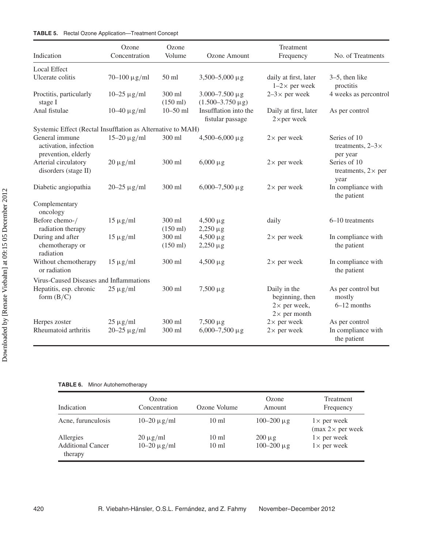| Indication                                                     | Ozone<br>Concentration              | Ozone<br>Volume              | Ozone Amount                                         | Treatment<br>Frequency                                                         | No. of Treatments                                    |
|----------------------------------------------------------------|-------------------------------------|------------------------------|------------------------------------------------------|--------------------------------------------------------------------------------|------------------------------------------------------|
| <b>Local Effect</b>                                            |                                     |                              |                                                      |                                                                                |                                                      |
| Ulcerate colitis                                               | $70 - 100 \mu g/ml$                 | $50$ ml                      | $3,500 - 5,000 \mu g$                                | daily at first, later<br>$1-2\times$ per week                                  | $3-5$ , then like<br>proctitis                       |
| Proctitis, particularly<br>stage I                             | $10 - 25 \mu g/ml$                  | 300 ml<br>$(150 \text{ ml})$ | $3.000 - 7.500 \,\mu g$<br>$(1.500 - 3.750 \,\mu g)$ | $2-3 \times$ per week                                                          | 4 weeks as percontrol                                |
| Anal fistulae                                                  | $10-40 \,\mathrm{\upmu g/ml}$       | $10 - 50$ ml                 | Insufflation into the<br>fistular passage            | Daily at first, later<br>$2 \times per$ week                                   | As per control                                       |
| Systemic Effect (Rectal Insufflation as Alternative to MAH)    |                                     |                              |                                                      |                                                                                |                                                      |
| General immune<br>activation, infection<br>prevention, elderly | $15 - 20 \mu g/ml$                  | 300 ml                       | $4,500 - 6,000 \,\mu g$                              | $2\times$ per week                                                             | Series of 10<br>treatments, $2-3 \times$<br>per year |
| Arterial circulatory<br>disorders (stage II)                   | $20 \mu g/ml$                       | 300 ml                       | $6,000 \mu g$                                        | $2\times$ per week                                                             | Series of 10<br>treatments, $2 \times$ per<br>year   |
| Diabetic angiopathia                                           | $20 - 25 \mu g/ml$                  | 300 ml                       | $6,000 - 7,500 \mu g$                                | $2 \times$ per week                                                            | In compliance with<br>the patient                    |
| Complementary<br>oncology                                      |                                     |                              |                                                      |                                                                                |                                                      |
| Before chemo-/                                                 | $15 \mu g/ml$                       | 300 ml                       | $4,500 \,\mu g$                                      | daily                                                                          | 6-10 treatments                                      |
| radiation therapy                                              |                                     | $(150 \text{ ml})$           | $2,250 \mu g$                                        |                                                                                |                                                      |
| During and after                                               | $15 \mu g/ml$                       | 300 ml                       | $4,500 \,\mu g$                                      | $2\times$ per week                                                             | In compliance with                                   |
| chemotherapy or<br>radiation                                   |                                     | $(150 \text{ ml})$           | $2,250 \,\mu g$                                      |                                                                                | the patient                                          |
| Without chemotherapy<br>or radiation                           | $15 \mu g/ml$                       | 300 ml                       | $4,500 \,\mu g$                                      | $2\times$ per week                                                             | In compliance with<br>the patient                    |
| Virus-Caused Diseases and Inflammations                        |                                     |                              |                                                      |                                                                                |                                                      |
| Hepatitis, esp. chronic<br>form $(B/C)$                        | $25 \mu g/ml$                       | 300 ml                       | $7,500 \,\mu g$                                      | Daily in the<br>beginning, then<br>$2\times$ per week,<br>$2 \times$ per month | As per control but<br>mostly<br>$6-12$ months        |
| Herpes zoster<br>Rheumatoid arthritis                          | $25 \mu g/ml$<br>$20 - 25 \mu g/ml$ | 300 ml<br>300 ml             | $7,500 \,\mu g$<br>$6,000 - 7,500 \mu g$             | $2 \times$ per week<br>$2\times$ per week                                      | As per control<br>In compliance with<br>the patient  |

**TABLE 6.** Minor Autohemotherapy

| Indication                          | Ozone<br>Concentration | Ozone Volume    | Ozone<br>Amount   | Treatment<br>Frequency                                        |
|-------------------------------------|------------------------|-----------------|-------------------|---------------------------------------------------------------|
| Acne, furunculosis                  | $10-20 \mu g/ml$       | $10 \text{ ml}$ | $100 - 200 \mu g$ | $1 \times$ per week<br>$\text{max } 2 \times \text{per week}$ |
| Allergies                           | $20 \mu g/ml$          | $10 \text{ ml}$ | $200 \mu g$       | $1 \times$ per week                                           |
| <b>Additional Cancer</b><br>therapy | $10 - 20 \mu g/ml$     | $10 \text{ ml}$ | $100 - 200 \mu g$ | $1 \times$ per week                                           |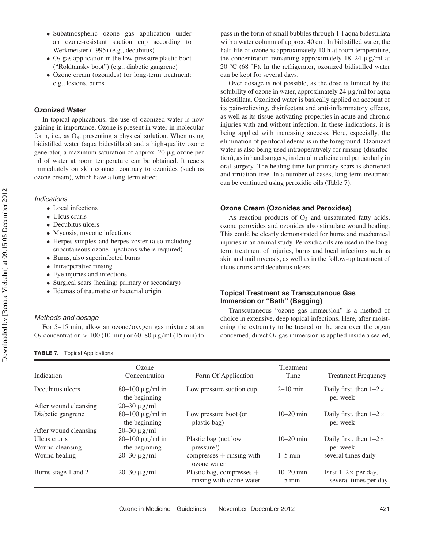- Subatmospheric ozone gas application under an ozone-resistant suction cup according to Werkmeister (1995) (e.g., decubitus)
- $\bullet$  O<sub>3</sub> gas application in the low-pressure plastic boot ("Rokitansky boot") (e.g., diabetic gangrene)
- Ozone cream (ozonides) for long-term treatment: e.g., lesions, burns

# **Ozonized Water**

In topical applications, the use of ozonized water is now gaining in importance. Ozone is present in water in molecular form, i.e., as  $O_3$ , presenting a physical solution. When using bidistilled water (aqua bidestillata) and a high-quality ozone generator, a maximum saturation of approx. 20 µg ozone per ml of water at room temperature can be obtained. It reacts immediately on skin contact, contrary to ozonides (such as ozone cream), which have a long-term effect.

#### *Indications*

- Local infections
- Ulcus cruris
- Decubitus ulcers
- Mycosis, mycotic infections
- Herpes simplex and herpes zoster (also including subcutaneous ozone injections where required)
- Burns, also superinfected burns
- Intraoperative rinsing
- Eye injuries and infections
- Surgical scars (healing: primary or secondary)
- Edemas of traumatic or bacterial origin

#### *Methods and dosage*

For 5–15 min, allow an ozone*/*oxygen gas mixture at an  $O_3$  concentration  $> 100 (10 \text{ min})$  or  $60-80 \text{ µg/ml}$  (15 min) to

**TABLE 7.** Topical Applications

pass in the form of small bubbles through 1-l aqua bidestillata with a water column of approx. 40 cm. In bidistilled water, the half-life of ozone is approximately 10 h at room temperature, the concentration remaining approximately 18–24 µg*/*ml at 20  $°C$  (68  $\degree$ F). In the refrigerator, ozonized bidistilled water can be kept for several days.

Over dosage is not possible, as the dose is limited by the solubility of ozone in water, approximately 24 µg*/*ml for aqua bidestillata. Ozonized water is basically applied on account of its pain-relieving, disinfectant and anti-inflammatory effects, as well as its tissue-activating properties in acute and chronic injuries with and without infection. In these indications, it is being applied with increasing success. Here, especially, the elimination of perifocal edema is in the foreground. Ozonized water is also being used intraoperatively for rinsing (disinfection), as in hand surgery, in dental medicine and particularly in oral surgery. The healing time for primary scars is shortened and irritation-free. In a number of cases, long-term treatment can be continued using peroxidic oils (Table 7).

#### **Ozone Cream (Ozonides and Peroxides)**

As reaction products of  $O_3$  and unsaturated fatty acids, ozone peroxides and ozonides also stimulate wound healing. This could be clearly demonstrated for burns and mechanical injuries in an animal study. Peroxidic oils are used in the longterm treatment of injuries, burns and local infections such as skin and nail mycosis, as well as in the follow-up treatment of ulcus cruris and decubitus ulcers.

# **Topical Treatment as Transcutanous Gas Immersion or "Bath" (Bagging)**

Transcutaneous "ozone gas immersion" is a method of choice in extensive, deep topical infections. Here, after moistening the extremity to be treated or the area over the organ concerned, direct  $O_3$  gas immersion is applied inside a sealed,

| Indication                      | Ozone<br>Concentration                  | Form Of Application                                   | Treatment<br>Time        | <b>Treatment Frequency</b>                          |
|---------------------------------|-----------------------------------------|-------------------------------------------------------|--------------------------|-----------------------------------------------------|
| Decubitus ulcers                | $80 - 100 \mu g/ml$ in<br>the beginning | Low pressure suction cup                              | $2-10$ min               | Daily first, then $1-2\times$<br>per week           |
| After wound cleansing           | $20 - 30 \mu g/ml$                      |                                                       |                          |                                                     |
| Diabetic gangrene               | $80 - 100 \mu g/ml$ in<br>the beginning | Low pressure boot (or<br>plastic bag)                 | $10-20$ min              | Daily first, then $1-2\times$<br>per week           |
| After wound cleansing           | $20 - 30 \mu g/ml$                      |                                                       |                          |                                                     |
| Ulcus cruris<br>Wound cleansing | $80 - 100 \mu g/ml$ in<br>the beginning | Plastic bag (not low<br>pressure!)                    | $10-20$ min              | Daily first, then $1-2\times$<br>per week           |
| Wound healing                   | $20 - 30 \mu g/ml$                      | $compresses + rinsing with$<br>ozone water            | $1-5$ min                | several times daily                                 |
| Burns stage 1 and 2             | $20 - 30 \mu g/ml$                      | Plastic bag, compresses +<br>rinsing with ozone water | $10-20$ min<br>$1-5$ min | First $1-2\times$ per day,<br>several times per day |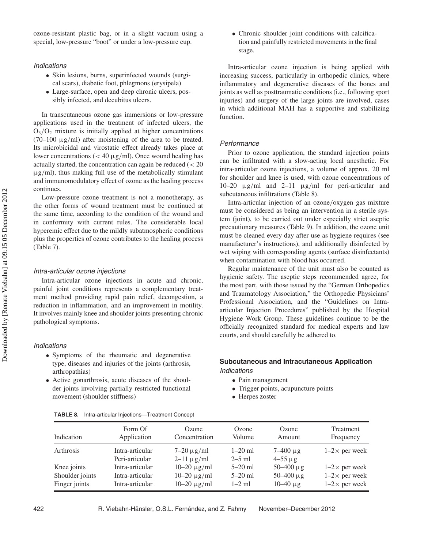# *Indications*

- Skin lesions, burns, superinfected wounds (surgical scars), diabetic foot, phlegmons (erysipela)
- Large-surface, open and deep chronic ulcers, possibly infected, and decubitus ulcers.

In transcutaneous ozone gas immersions or low-pressure applications used in the treatment of infected ulcers, the O3*/*O2 mixture is initially applied at higher concentrations  $(70-100 \text{ µg/ml})$  after moistening of the area to be treated. Its microbicidal and virostatic effect already takes place at lower concentrations (*<* 40 µg*/*ml). Once wound healing has actually started, the concentration can again be reduced (*<* 20 µg*/*ml), thus making full use of the metabolically stimulant and immunomodulatory effect of ozone as the healing process continues.

Low-pressure ozone treatment is not a monotherapy, as the other forms of wound treatment must be continued at the same time, according to the condition of the wound and in conformity with current rules. The considerable local hyperemic effect due to the mildly subatmospheric conditions plus the properties of ozone contributes to the healing process (Table 7).

## *Intra-articular ozone injections*

Intra-articular ozone injections in acute and chronic, painful joint conditions represents a complementary treatment method providing rapid pain relief, decongestion, a reduction in inflammation, and an improvement in motility. It involves mainly knee and shoulder joints presenting chronic pathological symptoms.

#### *Indications*

- Symptoms of the rheumatic and degenerative type, diseases and injuries of the joints (arthrosis, arthropathias)
- Active gonarthrosis, acute diseases of the shoulder joints involving partially restricted functional movement (shoulder stiffness)

• Chronic shoulder joint conditions with calcification and painfully restricted movements in the final stage.

Intra-articular ozone injection is being applied with increasing success, particularly in orthopedic clinics, where inflammatory and degenerative diseases of the bones and joints as well as posttraumatic conditions (i.e., following sport injuries) and surgery of the large joints are involved, cases in which additional MAH has a supportive and stabilizing function.

#### *Performance*

Prior to ozone application, the standard injection points can be infiltrated with a slow-acting local anesthetic. For intra-articular ozone injections, a volume of approx. 20 ml for shoulder and knee is used, with ozone concentrations of 10–20 µg*/*ml and 2–11 µg*/*ml for peri-articular and subcutaneous infiltrations (Table 8).

Intra-articular injection of an ozone*/*oxygen gas mixture must be considered as being an intervention in a sterile system (joint), to be carried out under especially strict aseptic precautionary measures (Table 9). In addition, the ozone unit must be cleaned every day after use as hygiene requires (see manufacturer's instructions), and additionally disinfected by wet wiping with corresponding agents (surface disinfectants) when contamination with blood has occurred.

Regular maintenance of the unit must also be counted as hygienic safety. The aseptic steps recommended agree, for the most part, with those issued by the "German Orthopedics and Traumatology Association," the Orthopedic Physicians' Professional Association, and the "Guidelines on Intraarticular Injection Procedures" published by the Hospital Hygiene Work Group. These guidelines continue to be the officially recognized standard for medical experts and law courts, and should carefully be adhered to.

# **Subcutaneous and Intracutaneous Application** *Indications*

- Pain management
- Trigger points, acupuncture points
- Herpes zoster

| Indication      | Form Of                           | Ozone                              | Ozone                   | Ozone                             | Treatment            |
|-----------------|-----------------------------------|------------------------------------|-------------------------|-----------------------------------|----------------------|
|                 | Application                       | Concentration                      | Volume                  | Amount                            | Frequency            |
| Arthrosis       | Intra-articular<br>Peri-articular | $7-20 \mu g/ml$<br>$2-11 \mu g/ml$ | $1 - 20$ ml<br>$2-5$ ml | $7 - 400 \mu g$<br>$4 - 55 \mu g$ | $1-2\times$ per week |
| Knee joints     | Intra-articular                   | $10-20 \mu g/ml$                   | $5 - 20$ ml             | $50 - 400 \mu g$                  | $1-2\times$ per week |
| Shoulder joints | Intra-articular                   | $10-20 \mu g/ml$                   | $5 - 20$ ml             | $50 - 400 \mu g$                  | $1-2\times$ per week |
| Finger joints   | Intra-articular                   | $10-20 \mu g/ml$                   | $1-2$ ml                | $10-40 \mu g$                     | $1-2\times$ per week |

|  | <b>TABLE 8.</b> Intra-articular Injections-Treatment Concept |  |  |  |
|--|--------------------------------------------------------------|--|--|--|
|--|--------------------------------------------------------------|--|--|--|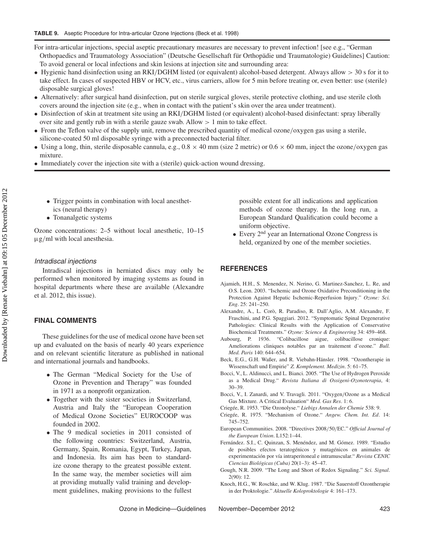For intra-articular injections, special aseptic precautionary measures are necessary to prevent infection! [see e.g., "German Orthopaedics and Traumatology Association" (Deutsche Gesellschaft für Orthopädie und Traumatologie) Guidelines] Caution: To avoid general or local infections and skin lesions at injection site and surrounding area:

- Hygienic hand disinfection using an RKI*/*DGHM listed (or equivalent) alcohol-based detergent. Always allow *>* 30 s for it to take effect. In cases of suspected HBV or HCV, etc., virus carriers, allow for 5 min before treating or, even better: use (sterile) disposable surgical gloves!
- Alternatively: after surgical hand disinfection, put on sterile surgical gloves, sterile protective clothing, and use sterile cloth covers around the injection site (e.g., when in contact with the patient's skin over the area under treatment).
- Disinfection of skin at treatment site using an RKI*/*DGHM listed (or equivalent) alcohol-based disinfectant: spray liberally over site and gently rub in with a sterile gauze swab. Allow *>* 1 min to take effect.
- From the Teflon valve of the supply unit, remove the prescribed quantity of medical ozone*/*oxygen gas using a sterile, silicone-coated 50 ml disposable syringe with a preconnected bacterial filter.
- Using a long, thin, sterile disposable cannula, e.g.,  $0.8 \times 40$  mm (size 2 metric) or  $0.6 \times 60$  mm, inject the ozone/oxygen gas mixture.
- Immediately cover the injection site with a (sterile) quick-action wound dressing.
	- Trigger points in combination with local anesthetics (neural therapy)
	- Tonanalgetic systems

Ozone concentrations: 2–5 without local anesthetic, 10–15 µg*/*ml with local anesthesia.

#### *Intradiscal injections*

Intradiscal injections in herniated discs may only be performed when monitored by imaging systems as found in hospital departments where these are available (Alexandre et al. 2012, this issue).

# **FINAL COMMENTS**

These guidelines for the use of medical ozone have been set up and evaluated on the basis of nearly 40 years experience and on relevant scientific literature as published in national and international journals and handbooks.

- The German "Medical Society for the Use of Ozone in Prevention and Therapy" was founded in 1971 as a nonprofit organization.
- Together with the sister societies in Switzerland, Austria and Italy the "European Cooperation of Medical Ozone Societies" EUROCOOP was founded in 2002.
- The 9 medical societies in 2011 consisted of the following countries: Switzerland, Austria, Germany, Spain, Romania, Egypt, Turkey, Japan, and Indonesia. Its aim has been to standardize ozone therapy to the greatest possible extent. In the same way, the member societies will aim at providing mutually valid training and development guidelines, making provisions to the fullest

possible extent for all indications and application methods of ozone therapy. In the long run, a European Standard Qualification could become a uniform objective.

• Every 2<sup>nd</sup> year an International Ozone Congress is held, organized by one of the member societies.

#### **REFERENCES**

- Ajamieh, H.H., S. Menendez, N. Nerino, G. Martinez-Sanchez, L. Re, and O.S. Leon. 2003. "Ischemic and Ozone Oxidative Preconditioning in the Protection Against Hepatic Ischemic-Reperfusion Injury." *Ozone: Sci. Eng*. 25: 241–250.
- Alexandre, A., L. Corò, R. Paradiso, R. Dall'Aglio, A.M. Alexandre, F. Fraschini, and P.G. Spaggiari. 2012. "Symptomatic Spinal Degenerative Pathologies: Clinical Results with the Application of Conservative Biochemical Treatments." *Ozone: Science & Engineering* 34: 459–468.
- Aubourg, P. 1936. "Colibacillose aigue, colibacillose cronique: Ameliorations cliniques notables par an traitement d'ozone." *Bull. Med. Paris* 140: 644–654.
- Beck, E.G., G.H. Waßer, and R. Viebahn-Hänsler. 1998. "Ozontherapie in Wissenschaft und Empirie" *Z. Komplement. Medizin*. 5: 61–75.
- Bocci, V., L. Aldinucci, and L. Bianci. 2005. "The Use of Hydrogen Peroxide as a Medical Drug." *Revista Italiana di Ossigeni-Ozonoterapia*, 4: 30–39.
- Bocci, V., I. Zanardi, and V. Travagli. 2011. "Oxygen*/*Ozone as a Medical Gas Mixture. A Critical Evaluation" *Med. Gas Res*. 1: 6.
- Criegée, R. 1953. "Die Ozonolyse." *Liebigs Annalen der Chemie* 538: 9.
- Criegée, R. 1975. "Mechanism of Ozone." *Angew. Chem. Int. Ed*. 14: 745–752.
- European Communities. 2008. "Directives 2008*/*50*/*EC." *Official Journal of the European Union*. L152:1–44.
- Fernández. S.I., C. Quinzan, S. Menéndez, and M. Gómez. 1989. "Estudio de posibles efectos teratogénicos y mutagénicos en animales de experimentación por vía intraperitoneal e intramuscular." *Revista CENIC Ciencias Biológicas (Cuba)* 20(1–3): 45–47.
- Gough, N.R. 2009. "The Long and Short of Redox Signaling." *Sci. Signal*. 2(90): 12.
- Knoch, H.G., W. Roschke, and W. Klug. 1987. "Die Sauerstoff Ozontherapie in der Proktologie." *Aktuelle Koloproktologie* 4: 161–173.